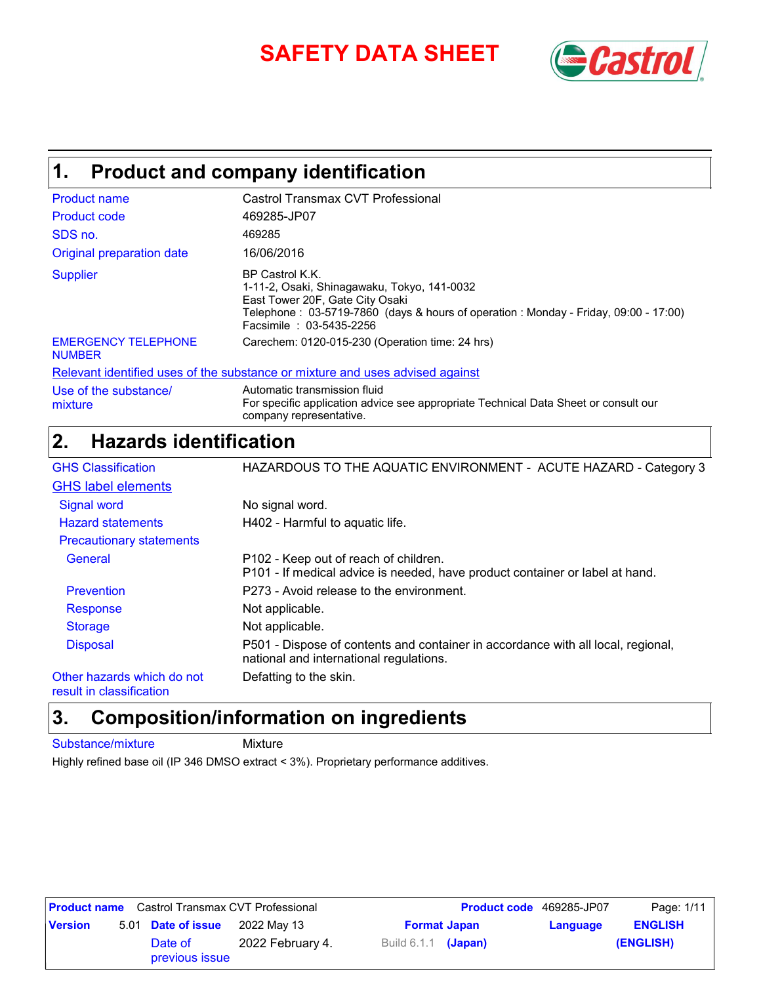# **SAFETY DATA SHEET** *Castrol*



# **Product and company identification 1.**

| <b>Product name</b>                         | Castrol Transmax CVT Professional                                                                                                                                                                                   |
|---------------------------------------------|---------------------------------------------------------------------------------------------------------------------------------------------------------------------------------------------------------------------|
| <b>Product code</b>                         | 469285-JP07                                                                                                                                                                                                         |
| SDS no.                                     | 469285                                                                                                                                                                                                              |
| Original preparation date                   | 16/06/2016                                                                                                                                                                                                          |
| <b>Supplier</b>                             | BP Castrol K.K.<br>1-11-2, Osaki, Shinagawaku, Tokyo, 141-0032<br>East Tower 20F, Gate City Osaki<br>Telephone: 03-5719-7860 (days & hours of operation: Monday - Friday, 09:00 - 17:00)<br>Facsimile: 03-5435-2256 |
| <b>EMERGENCY TELEPHONE</b><br><b>NUMBER</b> | Carechem: 0120-015-230 (Operation time: 24 hrs)                                                                                                                                                                     |
|                                             | Relevant identified uses of the substance or mixture and uses advised against                                                                                                                                       |
| Use of the substance/<br>mixture            | Automatic transmission fluid<br>For specific application advice see appropriate Technical Data Sheet or consult our                                                                                                 |

### For specific application advice see appropriate Technical Data Sheet or consult our company representative.

### **Hazards identification 2.**

| <b>GHS Classification</b>       | HAZARDOUS TO THE AQUATIC ENVIRONMENT - ACUTE HAZARD - Category 3                                                            |
|---------------------------------|-----------------------------------------------------------------------------------------------------------------------------|
| <b>GHS label elements</b>       |                                                                                                                             |
| <b>Signal word</b>              | No signal word.                                                                                                             |
| <b>Hazard statements</b>        | H402 - Harmful to aquatic life.                                                                                             |
| <b>Precautionary statements</b> |                                                                                                                             |
| General                         | P102 - Keep out of reach of children.<br>P101 - If medical advice is needed, have product container or label at hand.       |
| <b>Prevention</b>               | P273 - Avoid release to the environment.                                                                                    |
| Response                        | Not applicable.                                                                                                             |
| <b>Storage</b>                  | Not applicable.                                                                                                             |
| <b>Disposal</b>                 | P501 - Dispose of contents and container in accordance with all local, regional,<br>national and international regulations. |
| Other hazards which do not      | Defatting to the skin.                                                                                                      |

result in classification

## **Composition/information on ingredients 3.**

Substance/mixture Mixture

Highly refined base oil (IP 346 DMSO extract < 3%). Proprietary performance additives.

| <b>Product name</b> Castrol Transmax CVT Professional |  | <b>Product code</b> 469285-JP07                          |                  | Page: 1/11            |                |  |           |
|-------------------------------------------------------|--|----------------------------------------------------------|------------------|-----------------------|----------------|--|-----------|
| <b>Version</b>                                        |  | 5.01 Date of issue<br>2022 Mav 13<br><b>Format Japan</b> |                  | Language              | <b>ENGLISH</b> |  |           |
|                                                       |  | Date of<br>previous issue                                | 2022 February 4. | Build $6.1.1$ (Japan) |                |  | (ENGLISH) |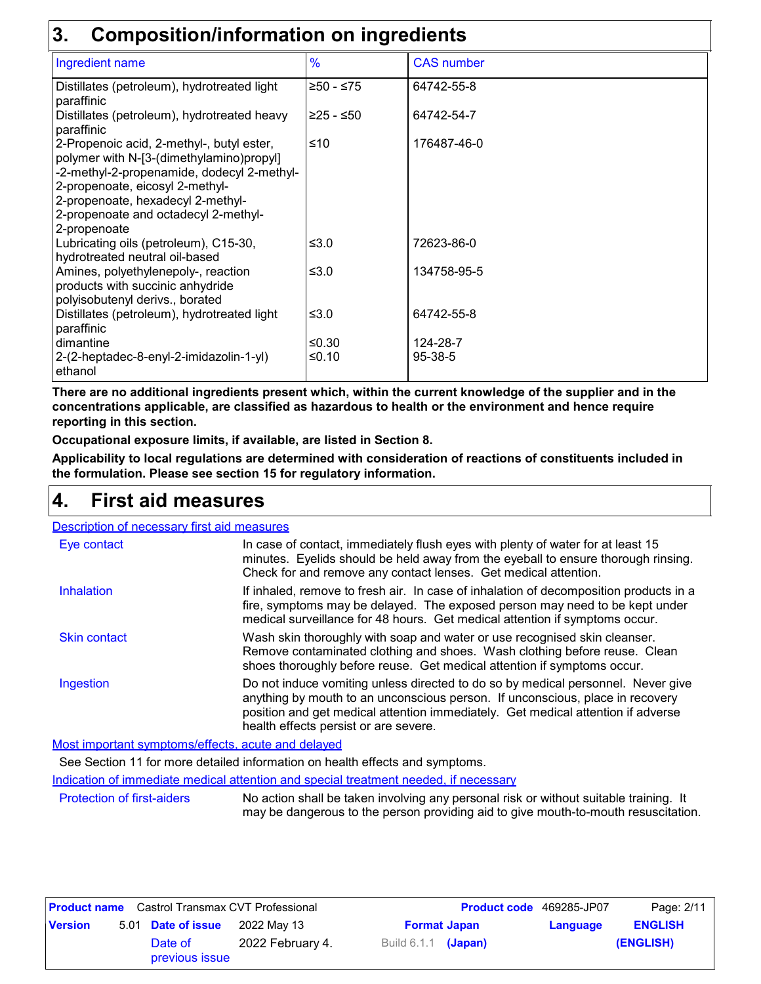### **3. Composition/information on ingredients**

|                                                                                                                                                                                                                                                                     | <u>sandan mundunun mundu mundudu</u> |                   |  |  |  |  |
|---------------------------------------------------------------------------------------------------------------------------------------------------------------------------------------------------------------------------------------------------------------------|--------------------------------------|-------------------|--|--|--|--|
| Ingredient name                                                                                                                                                                                                                                                     | $\%$                                 | <b>CAS number</b> |  |  |  |  |
| Distillates (petroleum), hydrotreated light<br>paraffinic                                                                                                                                                                                                           | $≥50 - ≤75$                          | 64742-55-8        |  |  |  |  |
| Distillates (petroleum), hydrotreated heavy<br>paraffinic                                                                                                                                                                                                           | l≥25 - ≤50                           | 64742-54-7        |  |  |  |  |
| 2-Propenoic acid, 2-methyl-, butyl ester,<br>polymer with N-[3-(dimethylamino)propyl]<br>-2-methyl-2-propenamide, dodecyl 2-methyl-<br>2-propenoate, eicosyl 2-methyl-<br>2-propenoate, hexadecyl 2-methyl-<br>2-propenoate and octadecyl 2-methyl-<br>2-propenoate | ≤10                                  | 176487-46-0       |  |  |  |  |
| Lubricating oils (petroleum), C15-30,<br>hydrotreated neutral oil-based                                                                                                                                                                                             | ≤ $3.0$                              | 72623-86-0        |  |  |  |  |
| Amines, polyethylenepoly-, reaction<br>products with succinic anhydride<br>polyisobutenyl derivs., borated                                                                                                                                                          | ≤3.0                                 | 134758-95-5       |  |  |  |  |
| Distillates (petroleum), hydrotreated light<br>paraffinic                                                                                                                                                                                                           | ≤ $3.0$                              | 64742-55-8        |  |  |  |  |
| dimantine                                                                                                                                                                                                                                                           | ≤ $0.30$                             | 124-28-7          |  |  |  |  |
| 2-(2-heptadec-8-enyl-2-imidazolin-1-yl)<br>ethanol                                                                                                                                                                                                                  | ≤ $0.10$                             | 95-38-5           |  |  |  |  |

**There are no additional ingredients present which, within the current knowledge of the supplier and in the concentrations applicable, are classified as hazardous to health or the environment and hence require reporting in this section.**

**Occupational exposure limits, if available, are listed in Section 8.**

**Applicability to local regulations are determined with consideration of reactions of constituents included in the formulation. Please see section 15 for regulatory information.**

### **First aid measures 4.**

| Description of necessary first aid measures                                         |                                                                                                                                                                                                                                                                                                |
|-------------------------------------------------------------------------------------|------------------------------------------------------------------------------------------------------------------------------------------------------------------------------------------------------------------------------------------------------------------------------------------------|
| Eye contact                                                                         | In case of contact, immediately flush eyes with plenty of water for at least 15<br>minutes. Eyelids should be held away from the eyeball to ensure thorough rinsing.<br>Check for and remove any contact lenses. Get medical attention.                                                        |
| Inhalation                                                                          | If inhaled, remove to fresh air. In case of inhalation of decomposition products in a<br>fire, symptoms may be delayed. The exposed person may need to be kept under<br>medical surveillance for 48 hours. Get medical attention if symptoms occur.                                            |
| <b>Skin contact</b>                                                                 | Wash skin thoroughly with soap and water or use recognised skin cleanser.<br>Remove contaminated clothing and shoes. Wash clothing before reuse. Clean<br>shoes thoroughly before reuse. Get medical attention if symptoms occur.                                                              |
| Ingestion                                                                           | Do not induce vomiting unless directed to do so by medical personnel. Never give<br>anything by mouth to an unconscious person. If unconscious, place in recovery<br>position and get medical attention immediately. Get medical attention if adverse<br>health effects persist or are severe. |
| March to construct a construction of a file and constructed at all also constructed |                                                                                                                                                                                                                                                                                                |

Most important symptoms/effects, acute and delayed

See Section 11 for more detailed information on health effects and symptoms.

Indication of immediate medical attention and special treatment needed, if necessary

Protection of first-aiders No action shall be taken involving any personal risk or without suitable training. It may be dangerous to the person providing aid to give mouth-to-mouth resuscitation.

| <b>Product name</b> Castrol Transmax CVT Professional |                                                                 |                           |                  | <b>Product code</b> 469285-JP07 | Page: 2/11 |  |           |
|-------------------------------------------------------|-----------------------------------------------------------------|---------------------------|------------------|---------------------------------|------------|--|-----------|
| <b>Version</b>                                        | 5.01 <b>Date of issue</b><br>2022 Mav 13<br><b>Format Japan</b> |                           | Language         | <b>ENGLISH</b>                  |            |  |           |
|                                                       |                                                                 | Date of<br>previous issue | 2022 February 4. | Build $6.1.1$ (Japan)           |            |  | (ENGLISH) |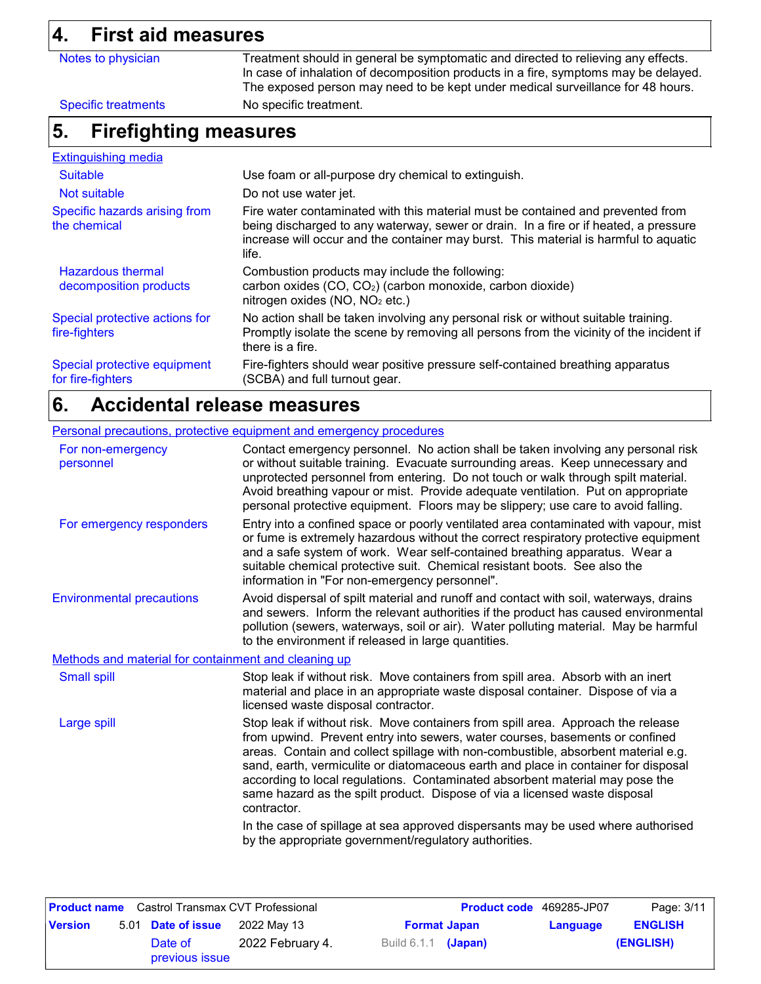# **4. First aid measures**

| 4.<br>FIFST ald measures                           |                                                                                                                                                                                                                                                                          |  |  |  |
|----------------------------------------------------|--------------------------------------------------------------------------------------------------------------------------------------------------------------------------------------------------------------------------------------------------------------------------|--|--|--|
| Notes to physician                                 | Treatment should in general be symptomatic and directed to relieving any effects.<br>In case of inhalation of decomposition products in a fire, symptoms may be delayed.<br>The exposed person may need to be kept under medical surveillance for 48 hours.              |  |  |  |
| <b>Specific treatments</b>                         | No specific treatment.                                                                                                                                                                                                                                                   |  |  |  |
| <b>Firefighting measures</b><br>5.                 |                                                                                                                                                                                                                                                                          |  |  |  |
| <b>Extinguishing media</b>                         |                                                                                                                                                                                                                                                                          |  |  |  |
| <b>Suitable</b>                                    | Use foam or all-purpose dry chemical to extinguish.                                                                                                                                                                                                                      |  |  |  |
| Not suitable                                       | Do not use water jet.                                                                                                                                                                                                                                                    |  |  |  |
| Specific hazards arising from<br>the chemical      | Fire water contaminated with this material must be contained and prevented from<br>being discharged to any waterway, sewer or drain. In a fire or if heated, a pressure<br>increase will occur and the container may burst. This material is harmful to aquatic<br>life. |  |  |  |
| <b>Hazardous thermal</b><br>decomposition products | Combustion products may include the following:<br>carbon oxides (CO, CO <sub>2</sub> ) (carbon monoxide, carbon dioxide)<br>nitrogen oxides (NO, NO <sub>2</sub> etc.)                                                                                                   |  |  |  |
| Special protective actions for<br>fire-fighters    | No action shall be taken involving any personal risk or without suitable training.<br>Promptly isolate the scene by removing all persons from the vicinity of the incident if<br>there is a fire.                                                                        |  |  |  |
| Special protective equipment<br>for fire-fighters  | Fire-fighters should wear positive pressure self-contained breathing apparatus<br>(SCBA) and full turnout gear.                                                                                                                                                          |  |  |  |

### **Accidental release measures 6.**

### Personal precautions, protective equipment and emergency procedures

| For non-emergency<br>personnel                       | Contact emergency personnel. No action shall be taken involving any personal risk<br>or without suitable training. Evacuate surrounding areas. Keep unnecessary and<br>unprotected personnel from entering. Do not touch or walk through spilt material.<br>Avoid breathing vapour or mist. Provide adequate ventilation. Put on appropriate<br>personal protective equipment. Floors may be slippery; use care to avoid falling.                                                                                        |
|------------------------------------------------------|--------------------------------------------------------------------------------------------------------------------------------------------------------------------------------------------------------------------------------------------------------------------------------------------------------------------------------------------------------------------------------------------------------------------------------------------------------------------------------------------------------------------------|
| For emergency responders                             | Entry into a confined space or poorly ventilated area contaminated with vapour, mist<br>or fume is extremely hazardous without the correct respiratory protective equipment<br>and a safe system of work. Wear self-contained breathing apparatus. Wear a<br>suitable chemical protective suit. Chemical resistant boots. See also the<br>information in "For non-emergency personnel".                                                                                                                                  |
| <b>Environmental precautions</b>                     | Avoid dispersal of spilt material and runoff and contact with soil, waterways, drains<br>and sewers. Inform the relevant authorities if the product has caused environmental<br>pollution (sewers, waterways, soil or air). Water polluting material. May be harmful<br>to the environment if released in large quantities.                                                                                                                                                                                              |
| Methods and material for containment and cleaning up |                                                                                                                                                                                                                                                                                                                                                                                                                                                                                                                          |
| <b>Small spill</b>                                   | Stop leak if without risk. Move containers from spill area. Absorb with an inert<br>material and place in an appropriate waste disposal container. Dispose of via a<br>licensed waste disposal contractor.                                                                                                                                                                                                                                                                                                               |
| Large spill                                          | Stop leak if without risk. Move containers from spill area. Approach the release<br>from upwind. Prevent entry into sewers, water courses, basements or confined<br>areas. Contain and collect spillage with non-combustible, absorbent material e.g.<br>sand, earth, vermiculite or diatomaceous earth and place in container for disposal<br>according to local regulations. Contaminated absorbent material may pose the<br>same hazard as the spilt product. Dispose of via a licensed waste disposal<br>contractor. |
|                                                      | In the case of spillage at sea approved dispersants may be used where authorised<br>by the appropriate government/regulatory authorities.                                                                                                                                                                                                                                                                                                                                                                                |

| <b>Product name</b> Castrol Transmax CVT Professional |  |                           |                                    | <b>Product code</b> 469285-JP07 | Page: 3/11 |                |           |
|-------------------------------------------------------|--|---------------------------|------------------------------------|---------------------------------|------------|----------------|-----------|
| <b>Version</b>                                        |  | 5.01 Date of issue        | 2022 May 13<br><b>Format Japan</b> |                                 | Language   | <b>ENGLISH</b> |           |
|                                                       |  | Date of<br>previous issue | 2022 February 4.                   | Build 6.1.1 <b>(Japan)</b>      |            |                | (ENGLISH) |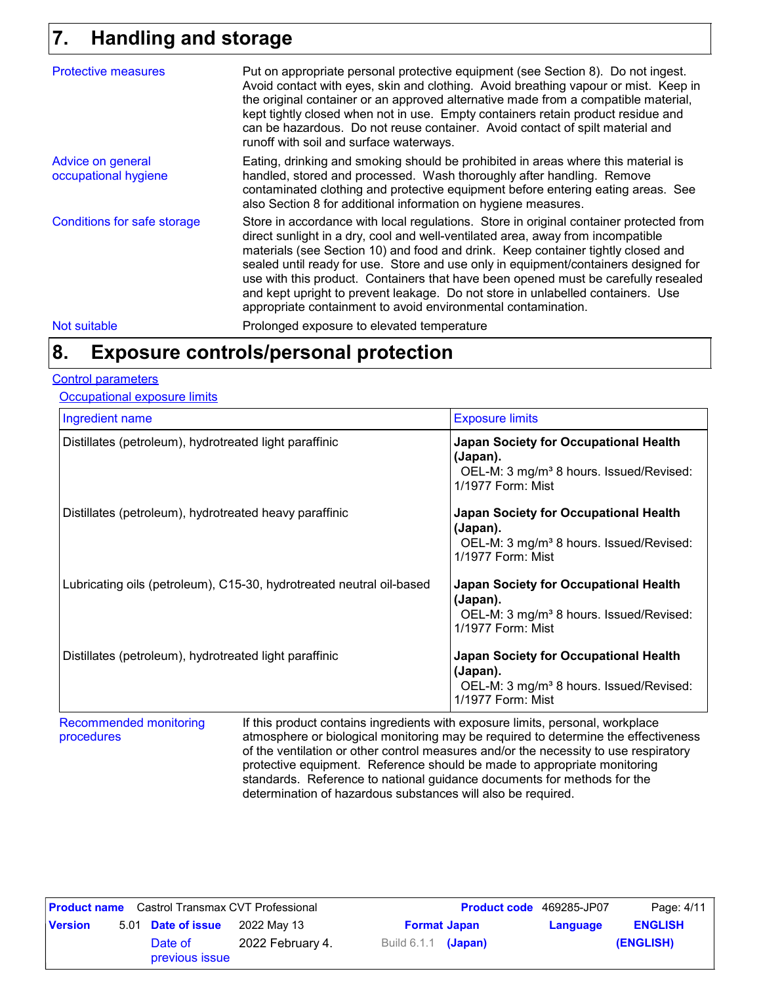# **Handling and storage 7.**

| <b>Protective measures</b>                | Put on appropriate personal protective equipment (see Section 8). Do not ingest.<br>Avoid contact with eyes, skin and clothing. Avoid breathing vapour or mist. Keep in<br>the original container or an approved alternative made from a compatible material,<br>kept tightly closed when not in use. Empty containers retain product residue and<br>can be hazardous. Do not reuse container. Avoid contact of spilt material and<br>runoff with soil and surface waterways.                                                                                                                  |  |
|-------------------------------------------|------------------------------------------------------------------------------------------------------------------------------------------------------------------------------------------------------------------------------------------------------------------------------------------------------------------------------------------------------------------------------------------------------------------------------------------------------------------------------------------------------------------------------------------------------------------------------------------------|--|
| Advice on general<br>occupational hygiene | Eating, drinking and smoking should be prohibited in areas where this material is<br>handled, stored and processed. Wash thoroughly after handling. Remove<br>contaminated clothing and protective equipment before entering eating areas. See<br>also Section 8 for additional information on hygiene measures.                                                                                                                                                                                                                                                                               |  |
| Conditions for safe storage               | Store in accordance with local regulations. Store in original container protected from<br>direct sunlight in a dry, cool and well-ventilated area, away from incompatible<br>materials (see Section 10) and food and drink. Keep container tightly closed and<br>sealed until ready for use. Store and use only in equipment/containers designed for<br>use with this product. Containers that have been opened must be carefully resealed<br>and kept upright to prevent leakage. Do not store in unlabelled containers. Use<br>appropriate containment to avoid environmental contamination. |  |
| Not suitable                              | Prolonged exposure to elevated temperature                                                                                                                                                                                                                                                                                                                                                                                                                                                                                                                                                     |  |

# **Exposure controls/personal protection 8.**

#### Control parameters

**Occupational exposure limits** 

| Ingredient name                                                      | <b>Exposure limits</b>                                                                                                        |
|----------------------------------------------------------------------|-------------------------------------------------------------------------------------------------------------------------------|
| Distillates (petroleum), hydrotreated light paraffinic               | Japan Society for Occupational Health<br>(Japan).<br>OEL-M: 3 mg/m <sup>3</sup> 8 hours. Issued/Revised:<br>1/1977 Form: Mist |
| Distillates (petroleum), hydrotreated heavy paraffinic               | Japan Society for Occupational Health<br>(Japan).<br>OEL-M: 3 mg/m <sup>3</sup> 8 hours. Issued/Revised:<br>1/1977 Form: Mist |
| Lubricating oils (petroleum), C15-30, hydrotreated neutral oil-based | Japan Society for Occupational Health<br>(Japan).<br>OEL-M: 3 mg/m <sup>3</sup> 8 hours. Issued/Revised:<br>1/1977 Form: Mist |
| Distillates (petroleum), hydrotreated light paraffinic               | Japan Society for Occupational Health<br>(Japan).<br>OEL-M: 3 mg/m <sup>3</sup> 8 hours. Issued/Revised:<br>1/1977 Form: Mist |

ecommenaea monitoring procedures If this product contains ingredients with exposure limits, personal, workplace atmosphere or biological monitoring may be required to determine the effectiveness of the ventilation or other control measures and/or the necessity to use respiratory protective equipment. Reference should be made to appropriate monitoring standards. Reference to national guidance documents for methods for the determination of hazardous substances will also be required.

| <b>Product name</b> Castrol Transmax CVT Professional |                                                                 |                           |                  | <b>Product code</b> 469285-JP07 | Page: 4/11 |  |           |
|-------------------------------------------------------|-----------------------------------------------------------------|---------------------------|------------------|---------------------------------|------------|--|-----------|
| <b>Version</b>                                        | 5.01 <b>Date of issue</b><br>2022 Mav 13<br><b>Format Japan</b> |                           | Language         | <b>ENGLISH</b>                  |            |  |           |
|                                                       |                                                                 | Date of<br>previous issue | 2022 February 4. | Build $6.1.1$ (Japan)           |            |  | (ENGLISH) |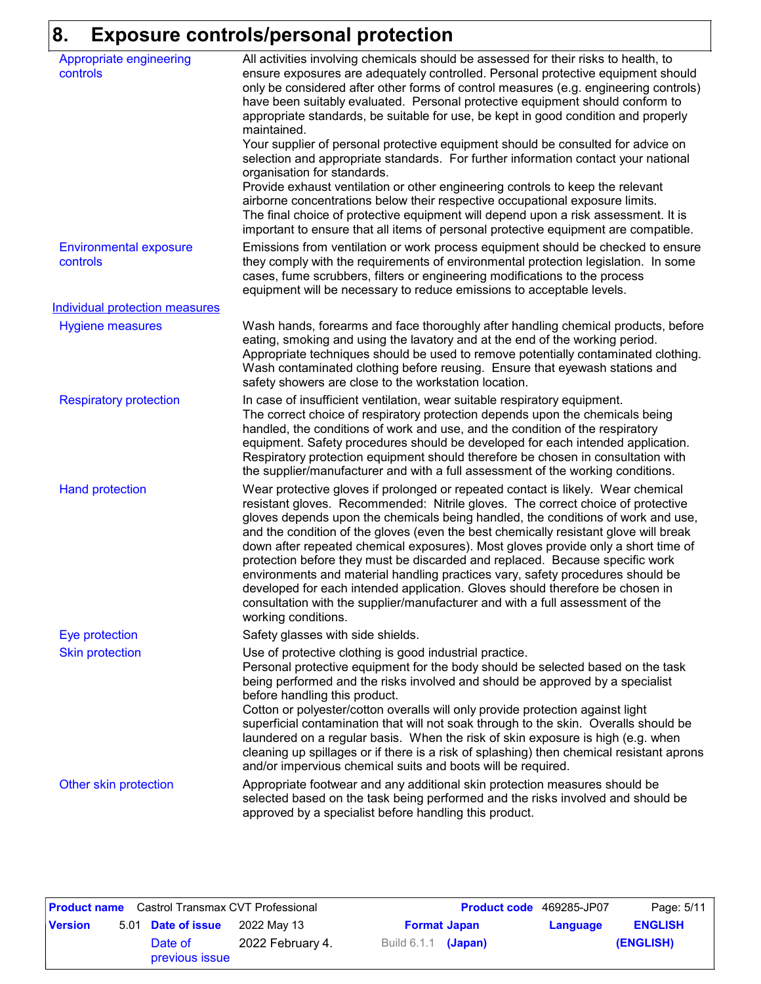# **8. Exposure controls/personal protection**

| Appropriate engineering<br>controls       | All activities involving chemicals should be assessed for their risks to health, to<br>ensure exposures are adequately controlled. Personal protective equipment should<br>only be considered after other forms of control measures (e.g. engineering controls)<br>have been suitably evaluated. Personal protective equipment should conform to<br>appropriate standards, be suitable for use, be kept in good condition and properly<br>maintained.<br>Your supplier of personal protective equipment should be consulted for advice on<br>selection and appropriate standards. For further information contact your national<br>organisation for standards.<br>Provide exhaust ventilation or other engineering controls to keep the relevant<br>airborne concentrations below their respective occupational exposure limits.<br>The final choice of protective equipment will depend upon a risk assessment. It is<br>important to ensure that all items of personal protective equipment are compatible. |
|-------------------------------------------|---------------------------------------------------------------------------------------------------------------------------------------------------------------------------------------------------------------------------------------------------------------------------------------------------------------------------------------------------------------------------------------------------------------------------------------------------------------------------------------------------------------------------------------------------------------------------------------------------------------------------------------------------------------------------------------------------------------------------------------------------------------------------------------------------------------------------------------------------------------------------------------------------------------------------------------------------------------------------------------------------------------|
| <b>Environmental exposure</b><br>controls | Emissions from ventilation or work process equipment should be checked to ensure<br>they comply with the requirements of environmental protection legislation. In some<br>cases, fume scrubbers, filters or engineering modifications to the process<br>equipment will be necessary to reduce emissions to acceptable levels.                                                                                                                                                                                                                                                                                                                                                                                                                                                                                                                                                                                                                                                                                 |
| <b>Individual protection measures</b>     |                                                                                                                                                                                                                                                                                                                                                                                                                                                                                                                                                                                                                                                                                                                                                                                                                                                                                                                                                                                                               |
| <b>Hygiene measures</b>                   | Wash hands, forearms and face thoroughly after handling chemical products, before<br>eating, smoking and using the lavatory and at the end of the working period.<br>Appropriate techniques should be used to remove potentially contaminated clothing.<br>Wash contaminated clothing before reusing. Ensure that eyewash stations and<br>safety showers are close to the workstation location.                                                                                                                                                                                                                                                                                                                                                                                                                                                                                                                                                                                                               |
| <b>Respiratory protection</b>             | In case of insufficient ventilation, wear suitable respiratory equipment.<br>The correct choice of respiratory protection depends upon the chemicals being<br>handled, the conditions of work and use, and the condition of the respiratory<br>equipment. Safety procedures should be developed for each intended application.<br>Respiratory protection equipment should therefore be chosen in consultation with<br>the supplier/manufacturer and with a full assessment of the working conditions.                                                                                                                                                                                                                                                                                                                                                                                                                                                                                                         |
| <b>Hand protection</b>                    | Wear protective gloves if prolonged or repeated contact is likely. Wear chemical<br>resistant gloves. Recommended: Nitrile gloves. The correct choice of protective<br>gloves depends upon the chemicals being handled, the conditions of work and use,<br>and the condition of the gloves (even the best chemically resistant glove will break<br>down after repeated chemical exposures). Most gloves provide only a short time of<br>protection before they must be discarded and replaced. Because specific work<br>environments and material handling practices vary, safety procedures should be<br>developed for each intended application. Gloves should therefore be chosen in<br>consultation with the supplier/manufacturer and with a full assessment of the<br>working conditions.                                                                                                                                                                                                               |
| Eye protection                            | Safety glasses with side shields.                                                                                                                                                                                                                                                                                                                                                                                                                                                                                                                                                                                                                                                                                                                                                                                                                                                                                                                                                                             |
| <b>Skin protection</b>                    | Use of protective clothing is good industrial practice.<br>Personal protective equipment for the body should be selected based on the task<br>being performed and the risks involved and should be approved by a specialist<br>before handling this product.<br>Cotton or polyester/cotton overalls will only provide protection against light<br>superficial contamination that will not soak through to the skin. Overalls should be<br>laundered on a regular basis. When the risk of skin exposure is high (e.g. when<br>cleaning up spillages or if there is a risk of splashing) then chemical resistant aprons<br>and/or impervious chemical suits and boots will be required.                                                                                                                                                                                                                                                                                                                         |
| Other skin protection                     | Appropriate footwear and any additional skin protection measures should be<br>selected based on the task being performed and the risks involved and should be<br>approved by a specialist before handling this product.                                                                                                                                                                                                                                                                                                                                                                                                                                                                                                                                                                                                                                                                                                                                                                                       |

|                | <b>Product name</b> Castrol Transmax CVT Professional |                  |                     |                     | <b>Product code</b> 469285-JP07 | Page: 5/11     |
|----------------|-------------------------------------------------------|------------------|---------------------|---------------------|---------------------------------|----------------|
| <b>Version</b> | 5.01 Date of issue                                    | 2022 May 13      |                     | <b>Format Japan</b> | Language                        | <b>ENGLISH</b> |
|                | Date of<br>previous issue                             | 2022 February 4. | Build 6.1.1 (Japan) |                     |                                 | (ENGLISH)      |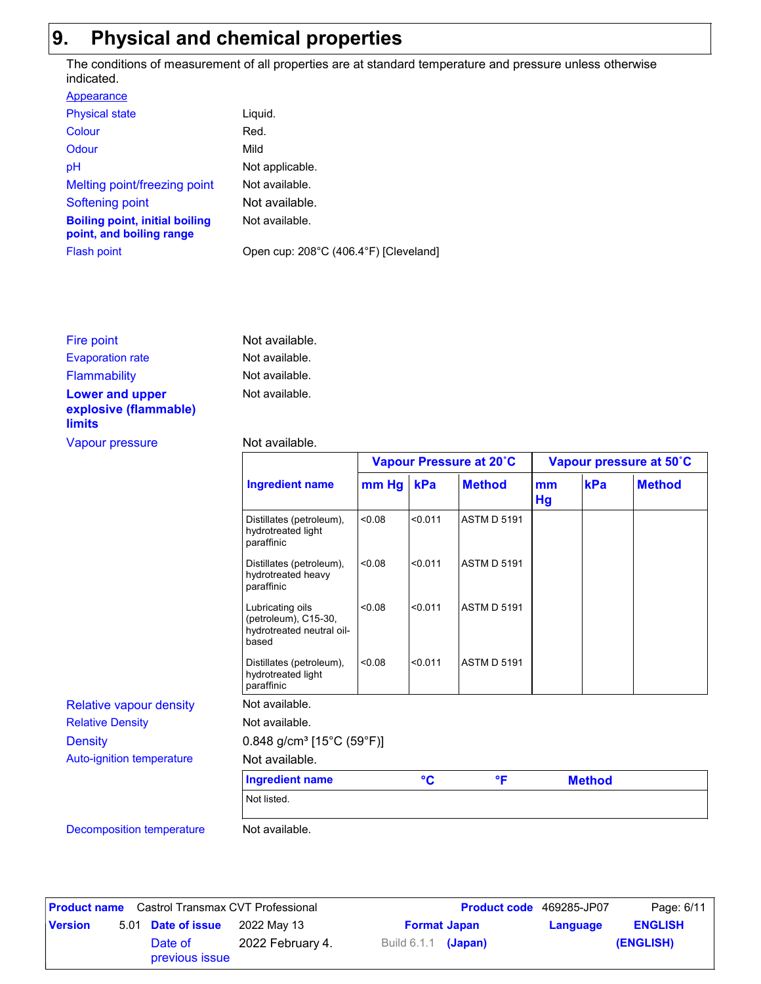# **9. Physical and chemical properties**

The conditions of measurement of all properties are at standard temperature and pressure unless otherwise indicated.

| Liguid.                               |
|---------------------------------------|
| Red.                                  |
| Mild                                  |
| Not applicable.                       |
| Not available.                        |
| Not available.                        |
| Not available.                        |
| Open cup: 208°C (406.4°F) [Cleveland] |
|                                       |

| Fire point                                                       | Not available. |
|------------------------------------------------------------------|----------------|
| <b>Evaporation rate</b>                                          | Not available. |
| <b>Flammability</b>                                              | Not available. |
| <b>Lower and upper</b><br>explosive (flammable)<br><b>limits</b> | Not available. |
| Vapour pressure                                                  | Not available. |

#### vailable.

|                                  |                                                                                |         | Vapour Pressure at 20°C |                    |                 | Vapour pressure at 50°C |               |  |
|----------------------------------|--------------------------------------------------------------------------------|---------|-------------------------|--------------------|-----------------|-------------------------|---------------|--|
|                                  | <b>Ingredient name</b>                                                         | $mm$ Hg | kPa                     | <b>Method</b>      | <b>mm</b><br>Hg | kPa                     | <b>Method</b> |  |
|                                  | Distillates (petroleum),<br>hydrotreated light<br>paraffinic                   | <0.08   | < 0.011                 | <b>ASTM D 5191</b> |                 |                         |               |  |
|                                  | Distillates (petroleum),<br>hydrotreated heavy<br>paraffinic                   | <0.08   | < 0.011                 | <b>ASTM D 5191</b> |                 |                         |               |  |
|                                  | Lubricating oils<br>(petroleum), C15-30,<br>hydrotreated neutral oil-<br>based | <0.08   | < 0.011                 | <b>ASTM D 5191</b> |                 |                         |               |  |
|                                  | Distillates (petroleum),<br>hydrotreated light<br>paraffinic                   | < 0.08  | < 0.011                 | <b>ASTM D 5191</b> |                 |                         |               |  |
| <b>Relative vapour density</b>   | Not available.                                                                 |         |                         |                    |                 |                         |               |  |
| <b>Relative Density</b>          | Not available.                                                                 |         |                         |                    |                 |                         |               |  |
| <b>Density</b>                   | $0.848$ g/cm <sup>3</sup> [15°C (59°F)]                                        |         |                         |                    |                 |                         |               |  |
| Auto-ignition temperature        | Not available.                                                                 |         |                         |                    |                 |                         |               |  |
|                                  | <b>Ingredient name</b>                                                         |         | $\circ$ C               | $\mathsf{P}$       |                 | <b>Method</b>           |               |  |
|                                  | Not listed.                                                                    |         |                         |                    |                 |                         |               |  |
| <b>Decomposition temperature</b> | Not available.                                                                 |         |                         |                    |                 |                         |               |  |

|                | <b>Product name</b> Castrol Transmax CVT Professional |                  |                            | <b>Product code</b> 469285-JP07 |          | Page: 6/11     |
|----------------|-------------------------------------------------------|------------------|----------------------------|---------------------------------|----------|----------------|
| <b>Version</b> | 5.01 Date of issue                                    | 2022 Mav 13      | <b>Format Japan</b>        |                                 | Language | <b>ENGLISH</b> |
|                | Date of<br>previous issue                             | 2022 February 4. | Build 6.1.1 <b>(Japan)</b> |                                 |          | (ENGLISH)      |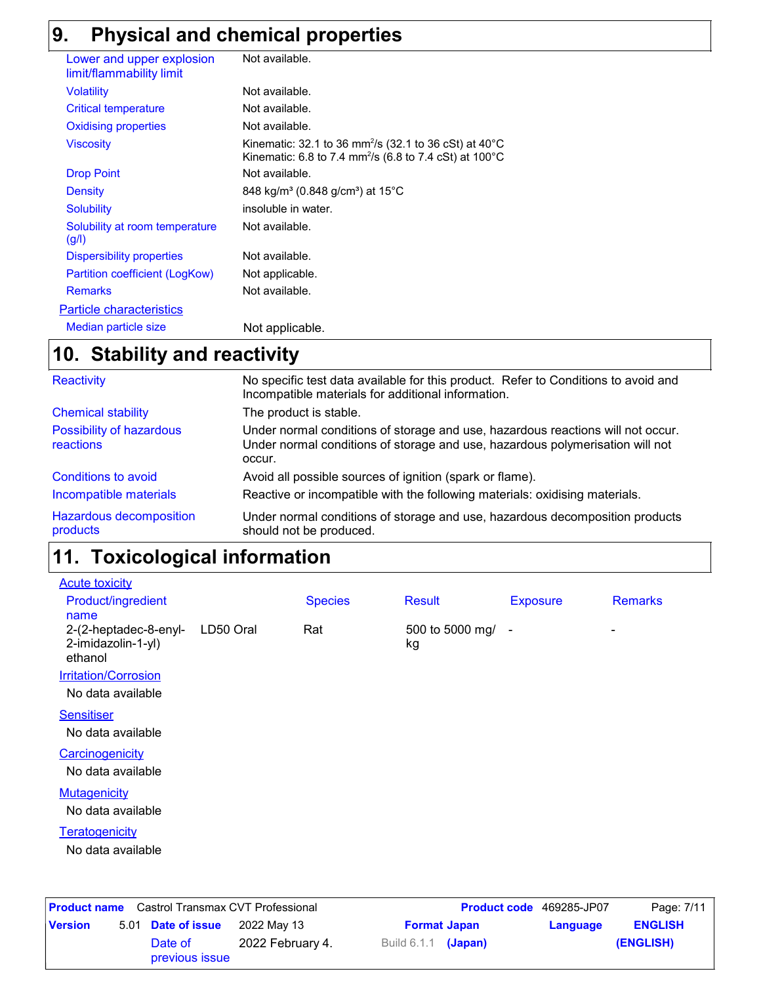# **9. Physical and chemical properties**

| Lower and upper explosion<br>limit/flammability limit | Not available.                                                                                                                                               |
|-------------------------------------------------------|--------------------------------------------------------------------------------------------------------------------------------------------------------------|
| <b>Volatility</b>                                     | Not available.                                                                                                                                               |
| <b>Critical temperature</b>                           | Not available.                                                                                                                                               |
| <b>Oxidising properties</b>                           | Not available.                                                                                                                                               |
| <b>Viscosity</b>                                      | Kinematic: 32.1 to 36 mm <sup>2</sup> /s (32.1 to 36 cSt) at $40^{\circ}$ C<br>Kinematic: 6.8 to 7.4 mm <sup>2</sup> /s (6.8 to 7.4 cSt) at 100 $^{\circ}$ C |
| <b>Drop Point</b>                                     | Not available.                                                                                                                                               |
| Density                                               | 848 kg/m <sup>3</sup> (0.848 g/cm <sup>3</sup> ) at 15 <sup>°</sup> C                                                                                        |
| <b>Solubility</b>                                     | insoluble in water.                                                                                                                                          |
| Solubility at room temperature<br>(g/l)               | Not available.                                                                                                                                               |
| <b>Dispersibility properties</b>                      | Not available.                                                                                                                                               |
| Partition coefficient (LogKow)                        | Not applicable.                                                                                                                                              |
| <b>Remarks</b>                                        | Not available.                                                                                                                                               |
| <b>Particle characteristics</b>                       |                                                                                                                                                              |
| Median particle size                                  | Not applicable.                                                                                                                                              |

### **Stability and reactivity 10.**

| Reactivity                                   | No specific test data available for this product. Refer to Conditions to avoid and<br>Incompatible materials for additional information.                                   |
|----------------------------------------------|----------------------------------------------------------------------------------------------------------------------------------------------------------------------------|
| <b>Chemical stability</b>                    | The product is stable.                                                                                                                                                     |
| <b>Possibility of hazardous</b><br>reactions | Under normal conditions of storage and use, hazardous reactions will not occur.<br>Under normal conditions of storage and use, hazardous polymerisation will not<br>occur. |
| Conditions to avoid                          | Avoid all possible sources of ignition (spark or flame).                                                                                                                   |
| Incompatible materials                       | Reactive or incompatible with the following materials: oxidising materials.                                                                                                |
| Hazardous decomposition<br>products          | Under normal conditions of storage and use, hazardous decomposition products<br>should not be produced.                                                                    |

#### **Toxicological information 11.**

| <b>Acute toxicity</b>                                  |           |                |                         |                 |                |
|--------------------------------------------------------|-----------|----------------|-------------------------|-----------------|----------------|
| <b>Product/ingredient</b><br>name                      |           | <b>Species</b> | <b>Result</b>           | <b>Exposure</b> | <b>Remarks</b> |
| 2-(2-heptadec-8-enyl-<br>2-imidazolin-1-yl)<br>ethanol | LD50 Oral | Rat            | 500 to 5000 mg/ -<br>kg |                 | ۰              |
| <b>Irritation/Corrosion</b>                            |           |                |                         |                 |                |
| No data available                                      |           |                |                         |                 |                |
| <b>Sensitiser</b>                                      |           |                |                         |                 |                |
| No data available                                      |           |                |                         |                 |                |
| Carcinogenicity                                        |           |                |                         |                 |                |
| No data available                                      |           |                |                         |                 |                |
| <b>Mutagenicity</b>                                    |           |                |                         |                 |                |
| No data available                                      |           |                |                         |                 |                |
| Teratogenicity                                         |           |                |                         |                 |                |
| No data available                                      |           |                |                         |                 |                |
|                                                        |           |                |                         |                 |                |
|                                                        |           |                |                         |                 |                |

|                | <b>Product name</b> Castrol Transmax CVT Professional |                  |  |                            | <b>Product code</b> 469285-JP07 | Page: 7/11     |
|----------------|-------------------------------------------------------|------------------|--|----------------------------|---------------------------------|----------------|
| <b>Version</b> | 5.01 Date of issue                                    | 2022 May 13      |  | <b>Format Japan</b>        | Language                        | <b>ENGLISH</b> |
|                | Date of<br>previous issue                             | 2022 February 4. |  | Build 6.1.1 <b>(Japan)</b> |                                 | (ENGLISH)      |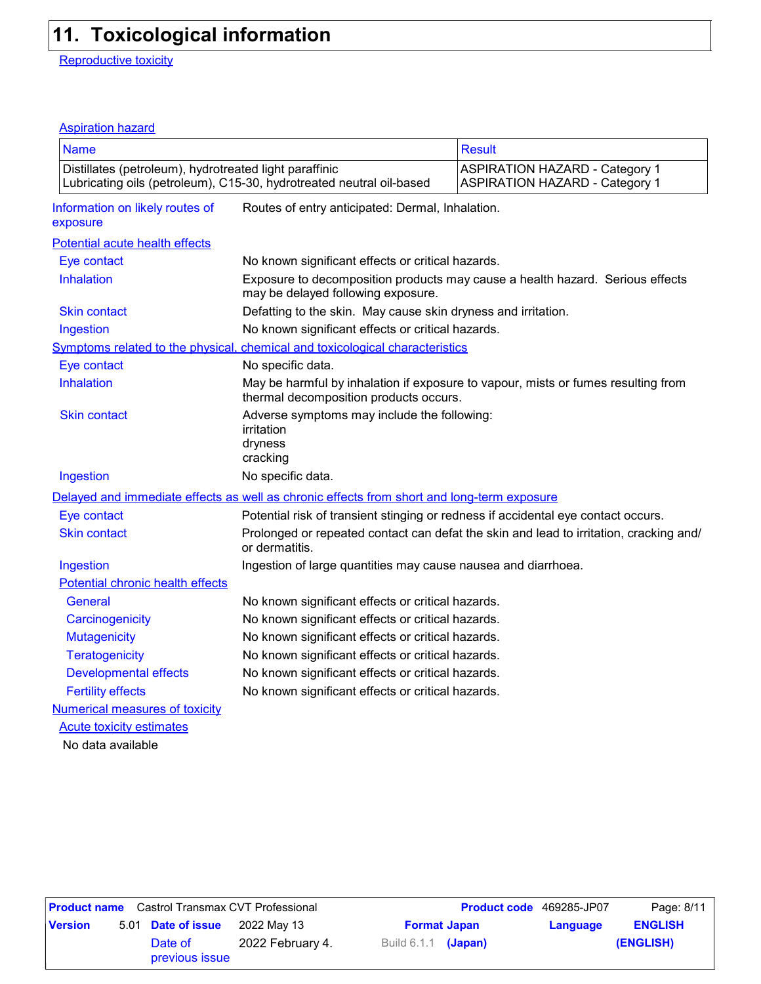# **11. Toxicological information**

Reproductive toxicity

### Aspiration hazard

| <b>Name</b>                                            |                                                                                            | <b>Result</b>                                                                          |  |  |  |  |
|--------------------------------------------------------|--------------------------------------------------------------------------------------------|----------------------------------------------------------------------------------------|--|--|--|--|
|                                                        |                                                                                            |                                                                                        |  |  |  |  |
| Distillates (petroleum), hydrotreated light paraffinic | Lubricating oils (petroleum), C15-30, hydrotreated neutral oil-based                       | <b>ASPIRATION HAZARD - Category 1</b><br><b>ASPIRATION HAZARD - Category 1</b>         |  |  |  |  |
| Information on likely routes of<br>exposure            | Routes of entry anticipated: Dermal, Inhalation.                                           |                                                                                        |  |  |  |  |
| Potential acute health effects                         |                                                                                            |                                                                                        |  |  |  |  |
| Eye contact                                            | No known significant effects or critical hazards.                                          |                                                                                        |  |  |  |  |
| Inhalation                                             | may be delayed following exposure.                                                         | Exposure to decomposition products may cause a health hazard. Serious effects          |  |  |  |  |
| <b>Skin contact</b>                                    | Defatting to the skin. May cause skin dryness and irritation.                              |                                                                                        |  |  |  |  |
| Ingestion                                              | No known significant effects or critical hazards.                                          |                                                                                        |  |  |  |  |
|                                                        | Symptoms related to the physical, chemical and toxicological characteristics               |                                                                                        |  |  |  |  |
| Eye contact                                            | No specific data.                                                                          |                                                                                        |  |  |  |  |
| Inhalation                                             | thermal decomposition products occurs.                                                     | May be harmful by inhalation if exposure to vapour, mists or fumes resulting from      |  |  |  |  |
| <b>Skin contact</b>                                    | Adverse symptoms may include the following:<br>irritation<br>dryness<br>cracking           |                                                                                        |  |  |  |  |
| Ingestion                                              | No specific data.                                                                          |                                                                                        |  |  |  |  |
|                                                        | Delayed and immediate effects as well as chronic effects from short and long-term exposure |                                                                                        |  |  |  |  |
| Eye contact                                            |                                                                                            | Potential risk of transient stinging or redness if accidental eye contact occurs.      |  |  |  |  |
| <b>Skin contact</b>                                    | or dermatitis.                                                                             | Prolonged or repeated contact can defat the skin and lead to irritation, cracking and/ |  |  |  |  |
| Ingestion                                              | Ingestion of large quantities may cause nausea and diarrhoea.                              |                                                                                        |  |  |  |  |
| Potential chronic health effects                       |                                                                                            |                                                                                        |  |  |  |  |
| General                                                | No known significant effects or critical hazards.                                          |                                                                                        |  |  |  |  |
| Carcinogenicity                                        | No known significant effects or critical hazards.                                          |                                                                                        |  |  |  |  |
| <b>Mutagenicity</b>                                    | No known significant effects or critical hazards.                                          |                                                                                        |  |  |  |  |
| <b>Teratogenicity</b>                                  | No known significant effects or critical hazards.                                          |                                                                                        |  |  |  |  |
| <b>Developmental effects</b>                           |                                                                                            | No known significant effects or critical hazards.                                      |  |  |  |  |
| <b>Fertility effects</b>                               | No known significant effects or critical hazards.                                          |                                                                                        |  |  |  |  |
| <b>Numerical measures of toxicity</b>                  |                                                                                            |                                                                                        |  |  |  |  |
| <b>Acute toxicity estimates</b>                        |                                                                                            |                                                                                        |  |  |  |  |
| No data available                                      |                                                                                            |                                                                                        |  |  |  |  |

|                | <b>Product name</b> Castrol Transmax CVT Professional |                  |                            |  | <b>Product code</b> 469285-JP07 | Page: 8/11     |
|----------------|-------------------------------------------------------|------------------|----------------------------|--|---------------------------------|----------------|
| <b>Version</b> | 5.01 Date of issue                                    | 2022 Mav 13      | <b>Format Japan</b>        |  | Language                        | <b>ENGLISH</b> |
|                | Date of<br>previous issue                             | 2022 February 4. | Build 6.1.1 <b>(Japan)</b> |  |                                 | (ENGLISH)      |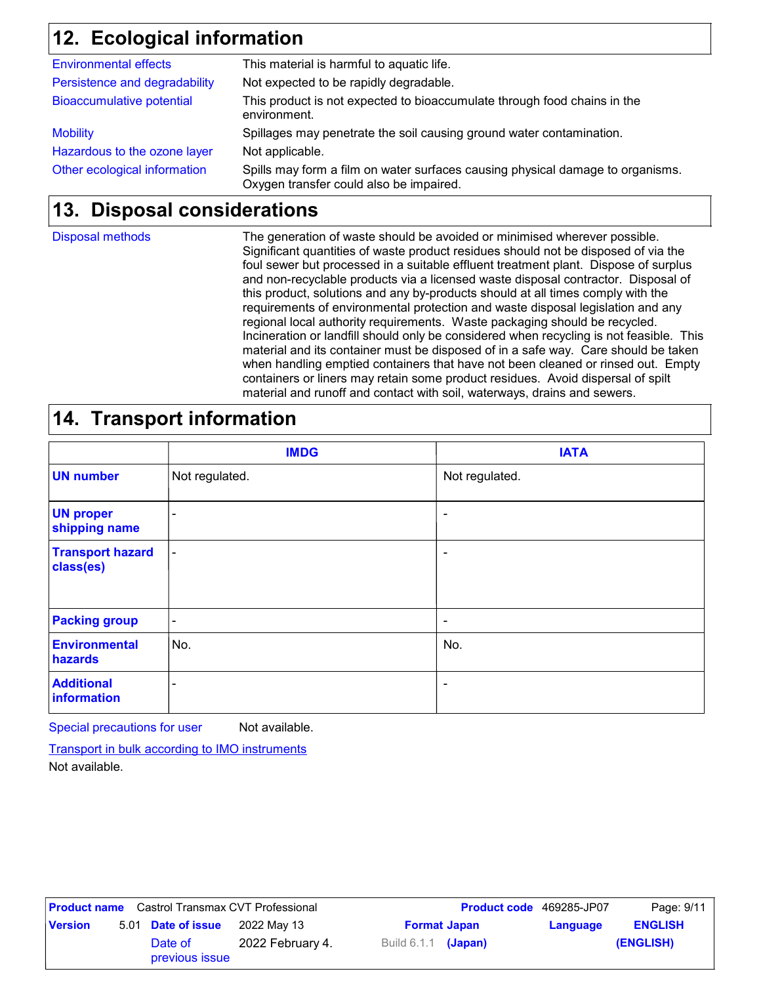# **Ecological information 12.**

| Other ecological information     | Spills may form a film on water surfaces causing physical damage to organisms.<br>Oxygen transfer could also be impaired. |
|----------------------------------|---------------------------------------------------------------------------------------------------------------------------|
| Hazardous to the ozone layer     | Not applicable.                                                                                                           |
| <b>Mobility</b>                  | Spillages may penetrate the soil causing ground water contamination.                                                      |
| <b>Bioaccumulative potential</b> | This product is not expected to bioaccumulate through food chains in the<br>environment.                                  |
| Persistence and degradability    | Not expected to be rapidly degradable.                                                                                    |
| <b>Environmental effects</b>     | This material is harmful to aquatic life.                                                                                 |

### **Disposal considerations 13.**

Disposal methods

The generation of waste should be avoided or minimised wherever possible. Significant quantities of waste product residues should not be disposed of via the foul sewer but processed in a suitable effluent treatment plant. Dispose of surplus and non-recyclable products via a licensed waste disposal contractor. Disposal of this product, solutions and any by-products should at all times comply with the requirements of environmental protection and waste disposal legislation and any regional local authority requirements. Waste packaging should be recycled. Incineration or landfill should only be considered when recycling is not feasible. This material and its container must be disposed of in a safe way. Care should be taken when handling emptied containers that have not been cleaned or rinsed out. Empty containers or liners may retain some product residues. Avoid dispersal of spilt material and runoff and contact with soil, waterways, drains and sewers.

## **14. Transport information**

|                                      | <b>IMDG</b>    | <b>IATA</b>    |
|--------------------------------------|----------------|----------------|
| <b>UN number</b>                     | Not regulated. | Not regulated. |
| <b>UN proper</b><br>shipping name    |                | ٠              |
| <b>Transport hazard</b><br>class(es) | $\blacksquare$ | ٠              |
| <b>Packing group</b>                 | ۰              | ٠              |
| <b>Environmental</b><br>hazards      | No.            | No.            |
| <b>Additional</b><br>information     | -              | ٠              |

Special precautions for user Not available.

Transport in bulk according to IMO instruments

Not available.

|                | <b>Product name</b> Castrol Transmax CVT Professional |                  |                       |                     | <b>Product code</b> 469285-JP07 | Page: 9/11     |
|----------------|-------------------------------------------------------|------------------|-----------------------|---------------------|---------------------------------|----------------|
| <b>Version</b> | 5.01 Date of issue                                    | 2022 May 13      |                       | <b>Format Japan</b> | Language                        | <b>ENGLISH</b> |
|                | Date of<br>previous issue                             | 2022 February 4. | Build $6.1.1$ (Japan) |                     |                                 | (ENGLISH)      |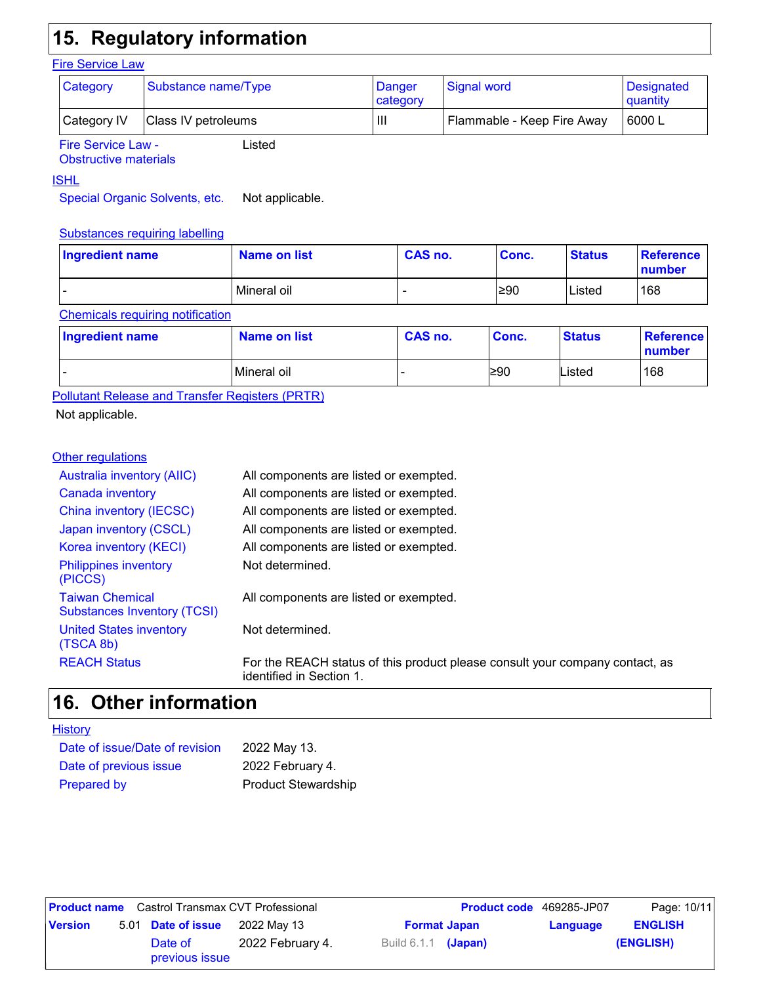# **15. Regulatory information**

### **Fire Service Law**

| <b>Category</b>           | Substance name/Type | Danger<br>category | Signal word                | Designated<br>quantity |
|---------------------------|---------------------|--------------------|----------------------------|------------------------|
| Category IV               | Class IV petroleums | Шı                 | Flammable - Keep Fire Away | 6000 L                 |
| <b>Fire Service Law -</b> | Listed              |                    |                            |                        |

Fire Service Law - Obstructive materials

### ISHL

Special Organic Solvents, etc. Not applicable.

### Substances requiring labelling

| Ingredient name | Name on list | CAS no. | Conc. | <b>Status</b> | Reference<br>number |
|-----------------|--------------|---------|-------|---------------|---------------------|
| -               | Mineral oil  | -       | ≥90   | Listed        | 168                 |

### Chemicals requiring notification

| Ingredient name | <b>Name on list</b> | CAS no. | Conc. | <b>Status</b> | Reference<br>number |
|-----------------|---------------------|---------|-------|---------------|---------------------|
| -               | Mineral oil         |         | l≥90  | Listed        | 168                 |

Pollutant Release and Transfer Registers (PRTR)

Not applicable.

### **Other regulations**

| <b>Australia inventory (AIIC)</b>                            | All components are listed or exempted.                                                                   |
|--------------------------------------------------------------|----------------------------------------------------------------------------------------------------------|
| Canada inventory                                             | All components are listed or exempted.                                                                   |
| China inventory (IECSC)                                      | All components are listed or exempted.                                                                   |
| Japan inventory (CSCL)                                       | All components are listed or exempted.                                                                   |
| Korea inventory (KECI)                                       | All components are listed or exempted.                                                                   |
| <b>Philippines inventory</b><br>(PICCS)                      | Not determined.                                                                                          |
| <b>Taiwan Chemical</b><br><b>Substances Inventory (TCSI)</b> | All components are listed or exempted.                                                                   |
| <b>United States inventory</b><br>(TSCA 8b)                  | Not determined.                                                                                          |
| <b>REACH Status</b>                                          | For the REACH status of this product please consult your company contact, as<br>identified in Section 1. |

### **Other information 16.**

| Date of issue/Date of revision | 2022 May 13.               |
|--------------------------------|----------------------------|
| Date of previous issue         | 2022 February 4.           |
| <b>Prepared by</b>             | <b>Product Stewardship</b> |

|                | <b>Product name</b> Castrol Transmax CVT Professional |                  |                            | <b>Product code</b> 469285-JP07 |          | Page: 10/11    |
|----------------|-------------------------------------------------------|------------------|----------------------------|---------------------------------|----------|----------------|
| <b>Version</b> | 5.01 Date of issue                                    | 2022 Mav 13      |                            | <b>Format Japan</b>             | Language | <b>ENGLISH</b> |
|                | Date of<br>previous issue                             | 2022 February 4. | Build 6.1.1 <b>(Japan)</b> |                                 |          | (ENGLISH)      |